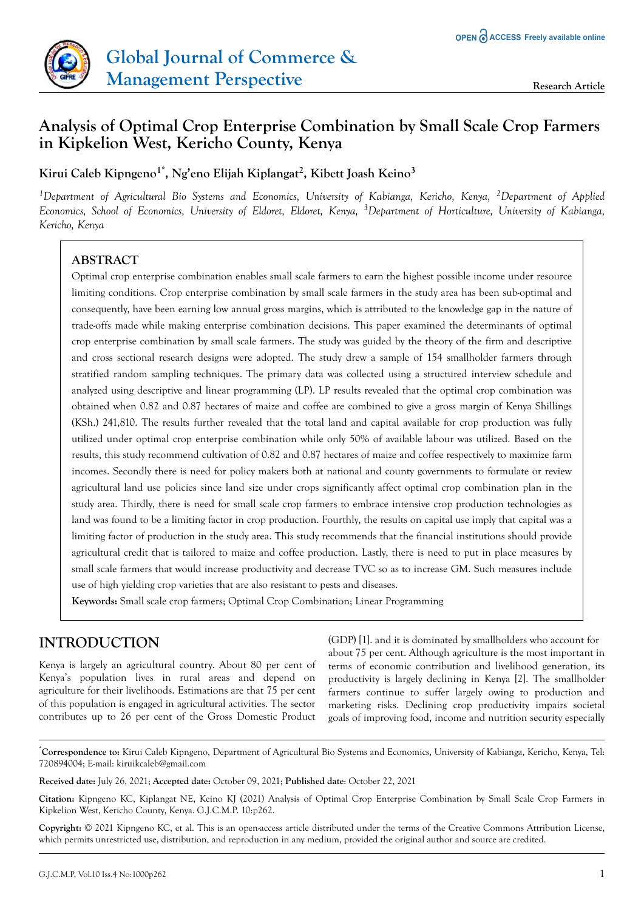

# **Analysis of Optimal Crop Enterprise Combination by Small Scale Crop Farmers in Kipkelion West, Kericho County, Kenya**

**Kirui Caleb Kipngeno1\*, Ng'eno Elijah Kiplangat<sup>2</sup> , Kibett Joash Keino<sup>3</sup>**

*<sup>1</sup>Department of Agricultural Bio Systems and Economics, University of Kabianga, Kericho, Kenya, <sup>2</sup>Department of Applied Economics, School of Economics, University of Eldoret, Eldoret, Kenya, 3Department of Horticulture, University of Kabianga, Kericho, Kenya*

# **ABSTRACT**

Optimal crop enterprise combination enables small scale farmers to earn the highest possible income under resource limiting conditions. Crop enterprise combination by small scale farmers in the study area has been sub-optimal and consequently, have been earning low annual gross margins, which is attributed to the knowledge gap in the nature of trade-offs made while making enterprise combination decisions. This paper examined the determinants of optimal crop enterprise combination by small scale farmers. The study was guided by the theory of the firm and descriptive and cross sectional research designs were adopted. The study drew a sample of 154 smallholder farmers through stratified random sampling techniques. The primary data was collected using a structured interview schedule and analyzed using descriptive and linear programming (LP). LP results revealed that the optimal crop combination was obtained when 0.82 and 0.87 hectares of maize and coffee are combined to give a gross margin of Kenya Shillings (KSh.) 241,810. The results further revealed that the total land and capital available for crop production was fully utilized under optimal crop enterprise combination while only 50% of available labour was utilized. Based on the results, this study recommend cultivation of 0.82 and 0.87 hectares of maize and coffee respectively to maximize farm incomes. Secondly there is need for policy makers both at national and county governments to formulate or review agricultural land use policies since land size under crops significantly affect optimal crop combination plan in the study area. Thirdly, there is need for small scale crop farmers to embrace intensive crop production technologies as land was found to be a limiting factor in crop production. Fourthly, the results on capital use imply that capital was a limiting factor of production in the study area. This study recommends that the financial institutions should provide agricultural credit that is tailored to maize and coffee production. Lastly, there is need to put in place measures by small scale farmers that would increase productivity and decrease TVC so as to increase GM. Such measures include use of high yielding crop varieties that are also resistant to pests and diseases.

**Keywords:** Small scale crop farmers; Optimal Crop Combination; Linear Programming

# **INTRODUCTION**

Kenya is largely an agricultural country. About 80 per cent of Kenya's population lives in rural areas and depend on agriculture for their livelihoods. Estimations are that 75 per cent of this population is engaged in agricultural activities. The sector contributes up to 26 per cent of the Gross Domestic Product

(GDP) [1]. and it is dominated by smallholders who account for about 75 per cent. Although agriculture is the most important in terms of economic contribution and livelihood generation, its productivity is largely declining in Kenya [2]. The smallholder farmers continue to suffer largely owing to production and marketing risks. Declining crop productivity impairs societal goals of improving food, income and nutrition security especially

\***Correspondence to:** Kirui Caleb Kipngeno, Department of Agricultural Bio Systems and Economics, University of Kabianga, Kericho, Kenya, Tel: 720894004; E-mail: kiruikcaleb@gmail.com

**Received date:** July 26, 2021; **Accepted date:** October 09, 2021; **Published date**: October 22, 2021

**Citation:** Kipngeno KC, Kiplangat NE, Keino KJ (2021) Analysis of Optimal Crop Enterprise Combination by Small Scale Crop Farmers in Kipkelion West, Kericho County, Kenya. G.J.C.M.P. 10:p262.

**Copyright:** © 2021 Kipngeno KC, et al. This is an open-access article distributed under the terms of the Creative Commons Attribution License, which permits unrestricted use, distribution, and reproduction in any medium, provided the original author and source are credited.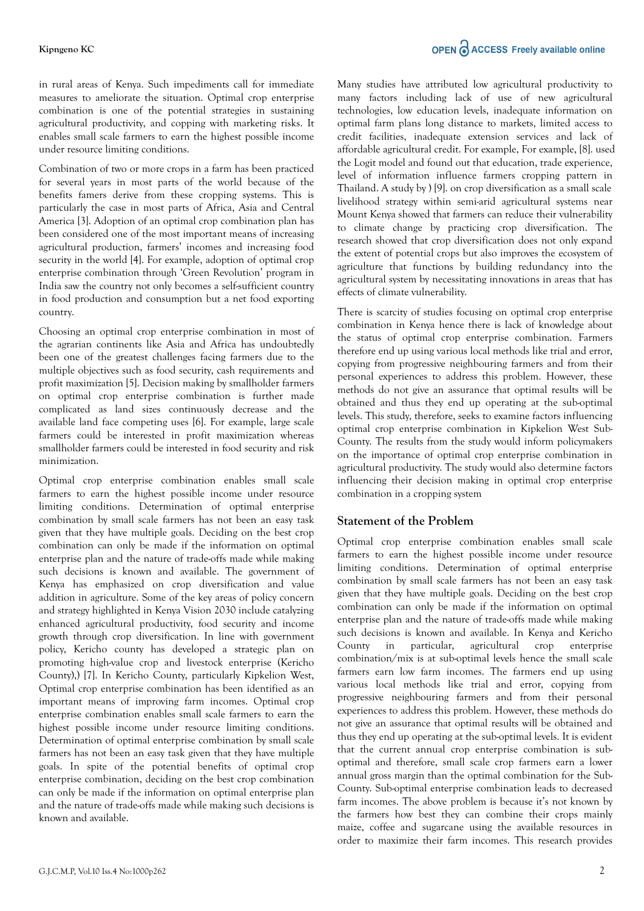#### **Kipngeno KC**

in rural areas of Kenya. Such impediments call for immediate measures to ameliorate the situation. Optimal crop enterprise combination is one of the potential strategies in sustaining agricultural productivity, and copping with marketing risks. It enables small scale farmers to earn the highest possible income under resource limiting conditions.

Combination of two or more crops in a farm has been practiced for several years in most parts of the world because of the benefits famers derive from these cropping systems. This is particularly the case in most parts of Africa, Asia and Central America [3]. Adoption of an optimal crop combination plan has been considered one of the most important means of increasing agricultural production, farmers' incomes and increasing food security in the world [4]. For example, adoption of optimal crop enterprise combination through 'Green Revolution' program in India saw the country not only becomes a self-sufficient country in food production and consumption but a net food exporting country.

Choosing an optimal crop enterprise combination in most of the agrarian continents like Asia and Africa has undoubtedly been one of the greatest challenges facing farmers due to the multiple objectives such as food security, cash requirements and profit maximization [5]. Decision making by smallholder farmers on optimal crop enterprise combination is further made complicated as land sizes continuously decrease and the available land face competing uses [6]. For example, large scale farmers could be interested in profit maximization whereas smallholder farmers could be interested in food security and risk minimization.

Optimal crop enterprise combination enables small scale farmers to earn the highest possible income under resource limiting conditions. Determination of optimal enterprise combination by small scale farmers has not been an easy task given that they have multiple goals. Deciding on the best crop combination can only be made if the information on optimal enterprise plan and the nature of trade-offs made while making such decisions is known and available. The government of Kenya has emphasized on crop diversification and value addition in agriculture. Some of the key areas of policy concern and strategy highlighted in Kenya Vision 2030 include catalyzing enhanced agricultural productivity, food security and income growth through crop diversification. In line with government policy, Kericho county has developed a strategic plan on promoting high-value crop and livestock enterprise (Kericho County),) [7]. In Kericho County, particularly Kipkelion West, Optimal crop enterprise combination has been identified as an important means of improving farm incomes. Optimal crop enterprise combination enables small scale farmers to earn the highest possible income under resource limiting conditions. Determination of optimal enterprise combination by small scale farmers has not been an easy task given that they have multiple goals. In spite of the potential benefits of optimal crop enterprise combination, deciding on the best crop combination can only be made if the information on optimal enterprise plan and the nature of trade-offs made while making such decisions is known and available.

Many studies have attributed low agricultural productivity to many factors including lack of use of new agricultural technologies, low education levels, inadequate information on optimal farm plans long distance to markets, limited access to credit facilities, inadequate extension services and lack of affordable agricultural credit. For example, For example, [8]. used the Logit model and found out that education, trade experience, level of information influence farmers cropping pattern in Thailand. A study by ) [9]. on crop diversification as a small scale livelihood strategy within semi-arid agricultural systems near Mount Kenya showed that farmers can reduce their vulnerability to climate change by practicing crop diversification. The research showed that crop diversification does not only expand the extent of potential crops but also improves the ecosystem of agriculture that functions by building redundancy into the agricultural system by necessitating innovations in areas that has effects of climate vulnerability.

There is scarcity of studies focusing on optimal crop enterprise combination in Kenya hence there is lack of knowledge about the status of optimal crop enterprise combination. Farmers therefore end up using various local methods like trial and error, copying from progressive neighbouring farmers and from their personal experiences to address this problem. However, these methods do not give an assurance that optimal results will be obtained and thus they end up operating at the sub-optimal levels. This study, therefore, seeks to examine factors influencing optimal crop enterprise combination in Kipkelion West Sub-County. The results from the study would inform policymakers on the importance of optimal crop enterprise combination in agricultural productivity. The study would also determine factors influencing their decision making in optimal crop enterprise combination in a cropping system

## **Statement of the Problem**

Optimal crop enterprise combination enables small scale farmers to earn the highest possible income under resource limiting conditions. Determination of optimal enterprise combination by small scale farmers has not been an easy task given that they have multiple goals. Deciding on the best crop combination can only be made if the information on optimal enterprise plan and the nature of trade-offs made while making such decisions is known and available. In Kenya and Kericho County in particular, agricultural crop enterprise combination/mix is at sub-optimal levels hence the small scale farmers earn low farm incomes. The farmers end up using various local methods like trial and error, copying from progressive neighbouring farmers and from their personal experiences to address this problem. However, these methods do not give an assurance that optimal results will be obtained and thus they end up operating at the sub-optimal levels. It is evident that the current annual crop enterprise combination is suboptimal and therefore, small scale crop farmers earn a lower annual gross margin than the optimal combination for the Sub-County. Sub-optimal enterprise combination leads to decreased farm incomes. The above problem is because it's not known by the farmers how best they can combine their crops mainly maize, coffee and sugarcane using the available resources in order to maximize their farm incomes. This research provides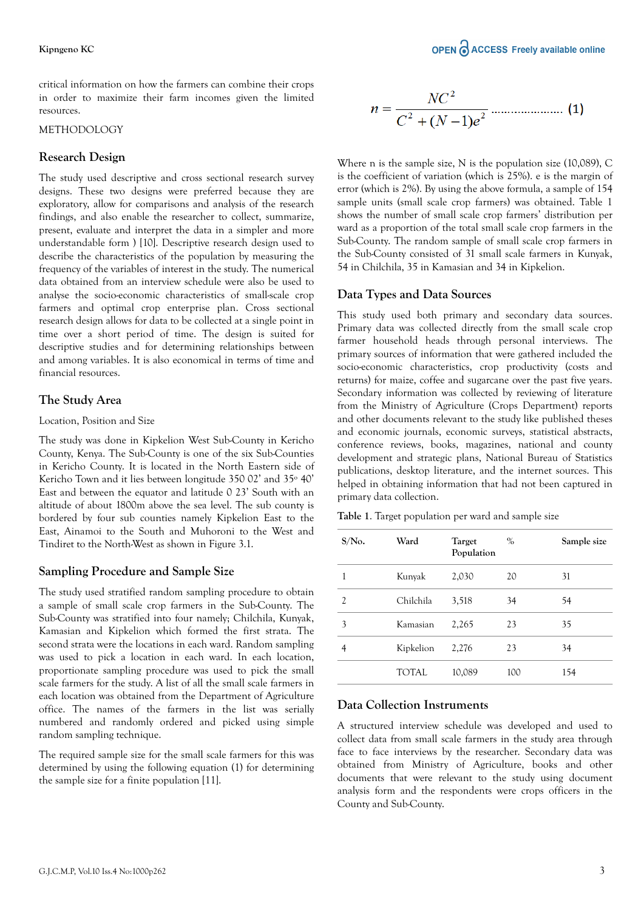critical information on how the farmers can combine their crops in order to maximize their farm incomes given the limited resources.

#### METHODOLOGY

### **Research Design**

The study used descriptive and cross sectional research survey designs. These two designs were preferred because they are exploratory, allow for comparisons and analysis of the research findings, and also enable the researcher to collect, summarize, present, evaluate and interpret the data in a simpler and more understandable form ) [10]. Descriptive research design used to describe the characteristics of the population by measuring the frequency of the variables of interest in the study. The numerical data obtained from an interview schedule were also be used to analyse the socio-economic characteristics of small-scale crop farmers and optimal crop enterprise plan. Cross sectional research design allows for data to be collected at a single point in time over a short period of time. The design is suited for descriptive studies and for determining relationships between and among variables. It is also economical in terms of time and financial resources.

## **The Study Area**

#### Location, Position and Size

The study was done in Kipkelion West Sub-County in Kericho County, Kenya. The Sub-County is one of the six Sub-Counties in Kericho County. It is located in the North Eastern side of Kericho Town and it lies between longitude 350 02' and 35º 40' East and between the equator and latitude 0 23' South with an altitude of about 1800m above the sea level. The sub county is bordered by four sub counties namely Kipkelion East to the East, Ainamoi to the South and Muhoroni to the West and Tindiret to the North-West as shown in Figure 3.1.

## **Sampling Procedure and Sample Size**

The study used stratified random sampling procedure to obtain a sample of small scale crop farmers in the Sub-County. The Sub-County was stratified into four namely; Chilchila, Kunyak, Kamasian and Kipkelion which formed the first strata. The second strata were the locations in each ward. Random sampling was used to pick a location in each ward. In each location, proportionate sampling procedure was used to pick the small scale farmers for the study. A list of all the small scale farmers in each location was obtained from the Department of Agriculture office. The names of the farmers in the list was serially numbered and randomly ordered and picked using simple random sampling technique.

The required sample size for the small scale farmers for this was determined by using the following equation (1) for determining the sample size for a finite population [11].

$$
n = \frac{NC^2}{C^2 + (N-1)e^2}
$$
................. (1)

Where n is the sample size, N is the population size (10,089), C is the coefficient of variation (which is 25%). e is the margin of error (which is 2%). By using the above formula, a sample of 154 sample units (small scale crop farmers) was obtained. Table 1 shows the number of small scale crop farmers' distribution per ward as a proportion of the total small scale crop farmers in the Sub-County. The random sample of small scale crop farmers in the Sub-County consisted of 31 small scale farmers in Kunyak, 54 in Chilchila, 35 in Kamasian and 34 in Kipkelion.

### **Data Types and Data Sources**

This study used both primary and secondary data sources. Primary data was collected directly from the small scale crop farmer household heads through personal interviews. The primary sources of information that were gathered included the socio-economic characteristics, crop productivity (costs and returns) for maize, coffee and sugarcane over the past five years. Secondary information was collected by reviewing of literature from the Ministry of Agriculture (Crops Department) reports and other documents relevant to the study like published theses and economic journals, economic surveys, statistical abstracts, conference reviews, books, magazines, national and county development and strategic plans, National Bureau of Statistics publications, desktop literature, and the internet sources. This helped in obtaining information that had not been captured in primary data collection.

**Table 1**. Target population per ward and sample size

| $S/No$ .       | Ward      | <b>Target</b><br>Population | $\%$ | Sample size |
|----------------|-----------|-----------------------------|------|-------------|
| 1              | Kunyak    | 2,030                       | 20   | 31          |
| $\mathfrak{D}$ | Chilchila | 3,518                       | 34   | 54          |
| 3              | Kamasian  | 2,265                       | 23   | 35          |
| 4              | Kipkelion | 2,276                       | 23   | 34          |
|                | TOTAL     | 10,089                      | 100  | 154         |

## **Data Collection Instruments**

A structured interview schedule was developed and used to collect data from small scale farmers in the study area through face to face interviews by the researcher. Secondary data was obtained from Ministry of Agriculture, books and other documents that were relevant to the study using document analysis form and the respondents were crops officers in the County and Sub-County.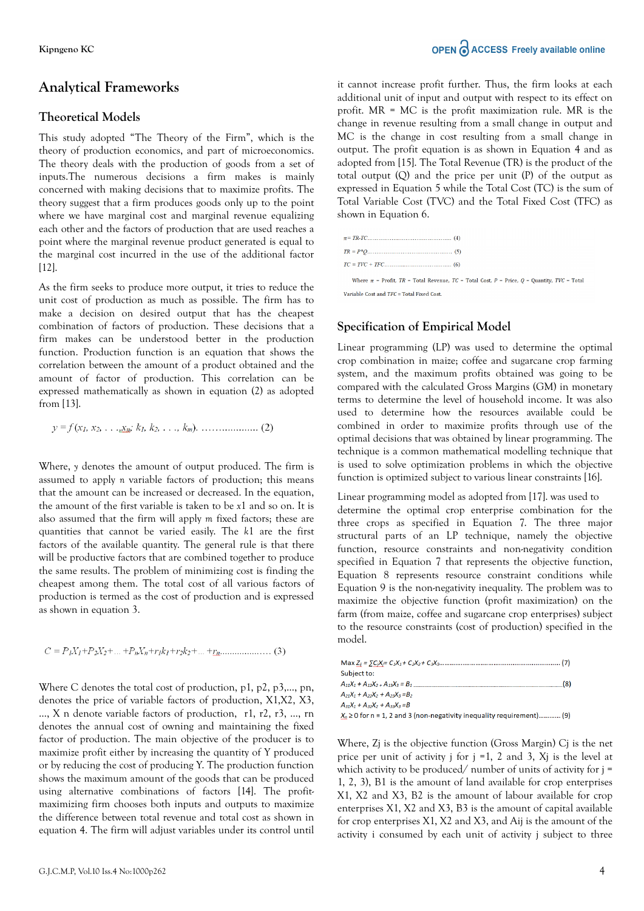## **Analytical Frameworks**

## **Theoretical Models**

This study adopted "The Theory of the Firm", which is the theory of production economics, and part of microeconomics. The theory deals with the production of goods from a set of inputs.The numerous decisions a firm makes is mainly concerned with making decisions that to maximize profits. The theory suggest that a firm produces goods only up to the point where we have marginal cost and marginal revenue equalizing each other and the factors of production that are used reaches a point where the marginal revenue product generated is equal to the marginal cost incurred in the use of the additional factor [12].

As the firm seeks to produce more output, it tries to reduce the unit cost of production as much as possible. The firm has to make a decision on desired output that has the cheapest combination of factors of production. These decisions that a firm makes can be understood better in the production function. Production function is an equation that shows the correlation between the amount of a product obtained and the amount of factor of production. This correlation can be expressed mathematically as shown in equation (2) as adopted from [13].

Where, *y* denotes the amount of output produced. The firm is assumed to apply *n* variable factors of production; this means that the amount can be increased or decreased. In the equation, the amount of the first variable is taken to be *x*1 and so on. It is also assumed that the firm will apply *m* fixed factors; these are quantities that cannot be varied easily. The *k*1 are the first factors of the available quantity. The general rule is that there will be productive factors that are combined together to produce the same results. The problem of minimizing cost is finding the cheapest among them. The total cost of all various factors of production is termed as the cost of production and is expressed as shown in equation 3.

 $C = P_1X_1 + P_2X_2 + ... + P_nX_n + r_1k_1 + r_2k_2 + ... + r_n$  (3)

Where C denotes the total cost of production, p1, p2, p3,…, pn, denotes the price of variable factors of production, X1,X2, X3, …, X n denote variable factors of production, r1, r2, r3, …, rn denotes the annual cost of owning and maintaining the fixed factor of production. The main objective of the producer is to maximize profit either by increasing the quantity of Y produced or by reducing the cost of producing Y. The production function shows the maximum amount of the goods that can be produced using alternative combinations of factors [14]. The profitmaximizing firm chooses both inputs and outputs to maximize the difference between total revenue and total cost as shown in equation 4. The firm will adjust variables under its control until it cannot increase profit further. Thus, the firm looks at each additional unit of input and output with respect to its effect on profit. MR = MC is the profit maximization rule. MR is the change in revenue resulting from a small change in output and MC is the change in cost resulting from a small change in output. The profit equation is as shown in Equation 4 and as adopted from [15]. The Total Revenue (TR) is the product of the total output (Q) and the price per unit (P) of the output as expressed in Equation 5 while the Total Cost (TC) is the sum of Total Variable Cost (TVC) and the Total Fixed Cost (TFC) as shown in Equation 6.

Where  $\pi$  = Profit, TR = Total Revenue, TC = Total Cost, P = Price, Q = Quantity, TVC = Total Variable Cost and TFC = Total Fixed Cost.

### **Specification of Empirical Model**

Linear programming (LP) was used to determine the optimal crop combination in maize; coffee and sugarcane crop farming system, and the maximum profits obtained was going to be compared with the calculated Gross Margins (GM) in monetary terms to determine the level of household income. It was also used to determine how the resources available could be combined in order to maximize profits through use of the optimal decisions that was obtained by linear programming. The technique is a common mathematical modelling technique that is used to solve optimization problems in which the objective function is optimized subject to various linear constraints [16].

Linear programming model as adopted from [17]. was used to determine the optimal crop enterprise combination for the three crops as specified in Equation 7. The three major structural parts of an LP technique, namely the objective function, resource constraints and non-negativity condition specified in Equation 7 that represents the objective function, Equation 8 represents resource constraint conditions while Equation 9 is the non-negativity inequality. The problem was to maximize the objective function (profit maximization) on the farm (from maize, coffee and sugarcane crop enterprises) subject to the resource constraints (cost of production) specified in the model.

| Subject to:                                                                                                                                                                                                                                                                          |
|--------------------------------------------------------------------------------------------------------------------------------------------------------------------------------------------------------------------------------------------------------------------------------------|
| $A_{11}X_1 + A_{12}X_2 + A_{13}X_3 = B_1$ [[1] $A_{11}X_1 + A_{12}X_2 + A_{13}X_3 = B_1$ [[1] $A_{11}X_1 + A_{12}X_2 + A_{13}X_3 = B_1$ [[1] $A_{11}X_1 + A_{12}X_2 + A_{13}X_3 = B_1$ [[1] $A_{11}X_1 + A_{12}X_2 + A_{13}X_3 = B_1$ [[1] $A_{11}X_1 + A_{12}X_2 + A_{13}X_3 = B_1$ |
| $A_{21}X_1 + A_{22}X_2 + A_{23}X_3 = B_2$                                                                                                                                                                                                                                            |
| $A_{31}X_1 + A_{32}X_2 + A_{33}X_3 = B$                                                                                                                                                                                                                                              |
| $X_n \ge 0$ for n = 1, 2 and 3 (non-negativity inequality requirement) (9)                                                                                                                                                                                                           |

Where, Zj is the objective function (Gross Margin) Cj is the net price per unit of activity j for  $j = 1$ , 2 and 3,  $Xj$  is the level at which activity to be produced/ number of units of activity for j = 1, 2, 3), B1 is the amount of land available for crop enterprises X1, X2 and X3, B2 is the amount of labour available for crop enterprises X1, X2 and X3, B3 is the amount of capital available for crop enterprises X1, X2 and X3, and Aij is the amount of the activity i consumed by each unit of activity j subject to three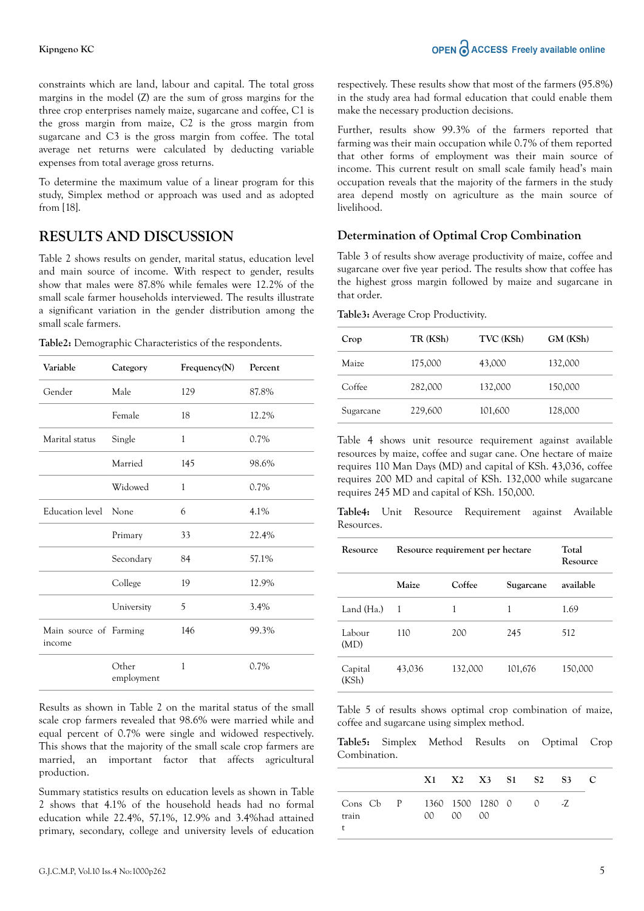constraints which are land, labour and capital. The total gross margins in the model (Z) are the sum of gross margins for the three crop enterprises namely maize, sugarcane and coffee, C1 is the gross margin from maize, C2 is the gross margin from sugarcane and C3 is the gross margin from coffee. The total average net returns were calculated by deducting variable expenses from total average gross returns.

To determine the maximum value of a linear program for this study, Simplex method or approach was used and as adopted from [18].

# **RESULTS AND DISCUSSION**

Table 2 shows results on gender, marital status, education level and main source of income. With respect to gender, results show that males were 87.8% while females were 12.2% of the small scale farmer households interviewed. The results illustrate a significant variation in the gender distribution among the small scale farmers.

**Table2:** Demographic Characteristics of the respondents.

| Variable                         | Category            | Frequency(N) | Percent |  |
|----------------------------------|---------------------|--------------|---------|--|
| Gender                           | Male                | 129          | 87.8%   |  |
|                                  | Female              | 18           | 12.2%   |  |
| Marital status                   | Single              | 1            | $0.7\%$ |  |
|                                  | Married             | 145          | 98.6%   |  |
|                                  | Widowed             | 1            | $0.7\%$ |  |
| Education level                  | None                | 6            | 4.1%    |  |
|                                  | Primary             | 33           | 22.4%   |  |
|                                  | Secondary           | 84           | 57.1%   |  |
|                                  | College             | 19           | 12.9%   |  |
|                                  | University          | 5            | 3.4%    |  |
| Main source of Farming<br>income |                     | 146          | 99.3%   |  |
|                                  | Other<br>employment | 1            | 0.7%    |  |

Results as shown in Table 2 on the marital status of the small scale crop farmers revealed that 98.6% were married while and equal percent of 0.7% were single and widowed respectively. This shows that the majority of the small scale crop farmers are married, an important factor that affects agricultural production.

Summary statistics results on education levels as shown in Table 2 shows that 4.1% of the household heads had no formal education while 22.4%, 57.1%, 12.9% and 3.4%had attained primary, secondary, college and university levels of education respectively. These results show that most of the farmers (95.8%) in the study area had formal education that could enable them make the necessary production decisions.

Further, results show 99.3% of the farmers reported that farming was their main occupation while 0.7% of them reported that other forms of employment was their main source of income. This current result on small scale family head's main occupation reveals that the majority of the farmers in the study area depend mostly on agriculture as the main source of livelihood.

## **Determination of Optimal Crop Combination**

Table 3 of results show average productivity of maize, coffee and sugarcane over five year period. The results show that coffee has the highest gross margin followed by maize and sugarcane in that order.

**Table3:** Average Crop Productivity.

| Crop      | TR (KSh) | TVC (KSh) | GM (KSh) |
|-----------|----------|-----------|----------|
| Maize     | 175,000  | 43,000    | 132,000  |
| Coffee    | 282,000  | 132,000   | 150,000  |
| Sugarcane | 229,600  | 101,600   | 128,000  |

Table 4 shows unit resource requirement against available resources by maize, coffee and sugar cane. One hectare of maize requires 110 Man Days (MD) and capital of KSh. 43,036, coffee requires 200 MD and capital of KSh. 132,000 while sugarcane requires 245 MD and capital of KSh. 150,000.

**Table4:** Unit Resource Requirement against Available Resources.

| Resource         | Resource requirement per hectare | Total<br>Resource   |         |           |  |
|------------------|----------------------------------|---------------------|---------|-----------|--|
|                  | Maize                            | Coffee<br>Sugarcane |         | available |  |
| Land (Ha.)       | $\overline{1}$                   | 1                   | 1       | 1.69      |  |
| Labour<br>(MD)   | 110                              | 200                 | 245     | 512       |  |
| Capital<br>(KSh) | 43,036                           | 132,000             | 101,676 | 150,000   |  |

Table 5 of results shows optimal crop combination of maize, coffee and sugarcane using simplex method.

**Table5:** Simplex Method Results on Optimal Crop Combination.

|                                       |  |            | X1 X2 X3 S1 S2 S3 C |  |        |  |
|---------------------------------------|--|------------|---------------------|--|--------|--|
| Cons Cb P 1360 1500 1280 0 0<br>train |  | 0000000000 |                     |  | $\sim$ |  |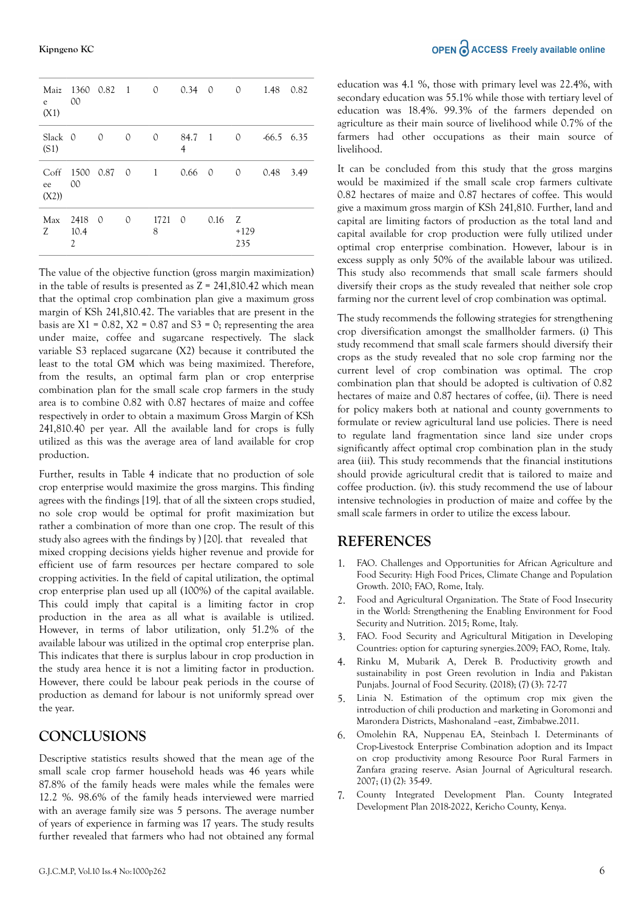**Kipngeno KC**

| e<br>(X1)                         | Maiz 1360 0.82 1 0 0.34 0<br>00  |               |          |                     |        |        | $\Omega$           | 1.48 0.82    |      |
|-----------------------------------|----------------------------------|---------------|----------|---------------------|--------|--------|--------------------|--------------|------|
| Slack 0<br>(S1)                   |                                  | $\mathcal{O}$ | $\circ$  | $\Omega$            | 4      | 84.7 1 | $\Omega$           | $-66.5$ 6.35 |      |
| C <sub>off</sub><br>ee 00<br>(X2) | 1500 0.87 0                      |               |          | $\sim$ 1.000 $\sim$ | 0.66 0 |        | $\mathcal{O}$      | 0.48         | 3.49 |
| Max<br>Z                          | 2418 0<br>10.4<br>$\overline{c}$ |               | $\Omega$ | 1721 0<br>8         |        | 0.16   | Z<br>$+129$<br>235 |              |      |

The value of the objective function (gross margin maximization) in the table of results is presented as  $Z = 241,810.42$  which mean that the optimal crop combination plan give a maximum gross margin of KSh 241,810.42. The variables that are present in the basis are  $X1 = 0.82$ ,  $X2 = 0.87$  and  $S3 = 0$ ; representing the area under maize, coffee and sugarcane respectively. The slack variable S3 replaced sugarcane (X2) because it contributed the least to the total GM which was being maximized. Therefore, from the results, an optimal farm plan or crop enterprise combination plan for the small scale crop farmers in the study area is to combine 0.82 with 0.87 hectares of maize and coffee respectively in order to obtain a maximum Gross Margin of KSh 241,810.40 per year. All the available land for crops is fully utilized as this was the average area of land available for crop production.

Further, results in Table 4 indicate that no production of sole crop enterprise would maximize the gross margins. This finding agrees with the findings [19]. that of all the sixteen crops studied, no sole crop would be optimal for profit maximization but rather a combination of more than one crop. The result of this study also agrees with the findings by ) [20]. that revealed that mixed cropping decisions yields higher revenue and provide for efficient use of farm resources per hectare compared to sole cropping activities. In the field of capital utilization, the optimal crop enterprise plan used up all (100%) of the capital available. This could imply that capital is a limiting factor in crop production in the area as all what is available is utilized. However, in terms of labor utilization, only 51.2% of the available labour was utilized in the optimal crop enterprise plan. This indicates that there is surplus labour in crop production in the study area hence it is not a limiting factor in production. However, there could be labour peak periods in the course of production as demand for labour is not uniformly spread over the year.

## **CONCLUSIONS**

Descriptive statistics results showed that the mean age of the small scale crop farmer household heads was 46 years while 87.8% of the family heads were males while the females were 12.2 %. 98.6% of the family heads interviewed were married with an average family size was 5 persons. The average number of years of experience in farming was 17 years. The study results further revealed that farmers who had not obtained any formal It can be concluded from this study that the gross margins would be maximized if the small scale crop farmers cultivate 0.82 hectares of maize and 0.87 hectares of coffee. This would give a maximum gross margin of KSh 241,810. Further, land and capital are limiting factors of production as the total land and capital available for crop production were fully utilized under optimal crop enterprise combination. However, labour is in excess supply as only 50% of the available labour was utilized. This study also recommends that small scale farmers should diversify their crops as the study revealed that neither sole crop farming nor the current level of crop combination was optimal.

The study recommends the following strategies for strengthening crop diversification amongst the smallholder farmers. (i) This study recommend that small scale farmers should diversify their crops as the study revealed that no sole crop farming nor the current level of crop combination was optimal. The crop combination plan that should be adopted is cultivation of 0.82 hectares of maize and 0.87 hectares of coffee, (ii). There is need for policy makers both at national and county governments to formulate or review agricultural land use policies. There is need to regulate land fragmentation since land size under crops significantly affect optimal crop combination plan in the study area (iii). This study recommends that the financial institutions should provide agricultural credit that is tailored to maize and coffee production. (iv). this study recommend the use of labour intensive technologies in production of maize and coffee by the small scale farmers in order to utilize the excess labour.

## **REFERENCES**

- 1. [FAO. Challenges and Opportunities for African Agriculture and](https://doi.org/10.1016/j.jbiotec.2011.06.013) Food Security: High Food Prices, Climate Change and Population Growth. 2010; FAO, Rome, Italy.
- 2. Food and Agricultural Organization. The State of Food Insecurity [in the World: Strengthening the Enabling Environment for Food](https://doi.org/10.18356/63e608ce-en) Security and Nutrition. 2015; Rome, Italy.
- 3. [FAO. Food Security and Agricultural Mitigation in Developing](https://doi.org/10.1787/2d8899d7-en) Countries: option for capturing synergies.2009; FAO, Rome, Italy.
- 4. Rinku M, Mubarik A, Derek B. Productivity growth and [sustainability in post Green revolution in India and Pakistan](https://doi.org/10.1093/wbro/16.2.199) Punjabs. Journal of Food Security. (2018); (7) (3): 72-77
- 5. Linia N. Estimation of the optimum crop mix given the [introduction of chili production and marketing in Goromonzi and](http://hdl.handle.net/10646/1075) Marondera Districts, Mashonaland –east, Zimbabwe.2011.
- 6. Omolehin RA, Nuppenau EA, Steinbach I. Determinants of [Crop-Livestock Enterprise Combination adoption and its Impact](https://doi.org/10.3923/ajar.2007.35.49) on crop productivity among Resource Poor Rural Farmers in Zanfara grazing reserve. Asian Journal of Agricultural research. 2007; (1) (2): 35-49.
- 7. County Integrated Development Plan. County Integrated Development Plan 2018-2022, Kericho County, Kenya.